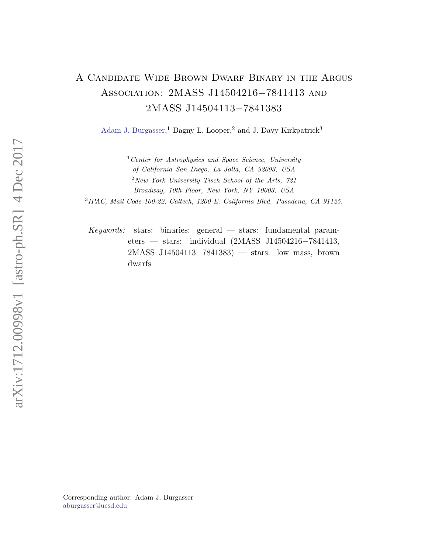## A Candidate Wide Brown Dwarf Binary in the Argus Association: 2MASS J14504216−7841413 and 2MASS J14504113−7841383

[Adam J. Burgasser,](http://orcid.org/0000-0002-6523-9536)<sup>1</sup> Dagny L. Looper,<sup>2</sup> and J. Davy Kirkpatrick<sup>3</sup>

 $1$  Center for Astrophysics and Space Science, University of California San Diego, La Jolla, CA 92093, USA  $2$ New York University Tisch School of the Arts, 721 Broadway, 10th Floor, New York, NY 10003, USA

3 IPAC, Mail Code 100-22, Caltech, 1200 E. California Blvd. Pasadena, CA 91125.

 $Keywords:$  stars: binaries: general — stars: fundamental parameters — stars: individual (2MASS J14504216−7841413, 2MASS J14504113−7841383) — stars: low mass, brown dwarfs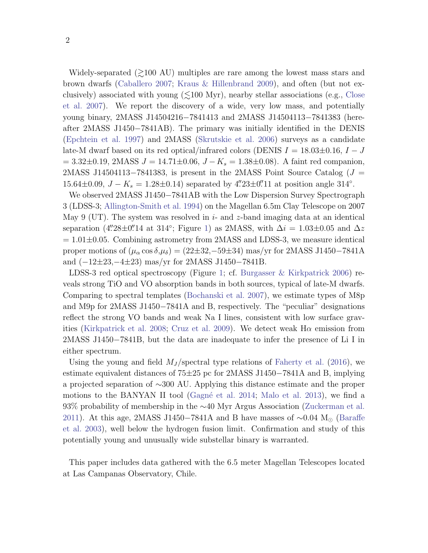Widely-separated  $\approx 100$  AU) multiples are rare among the lowest mass stars and brown dwarfs [\(Caballero](#page-2-0) [2007;](#page-2-0) [Kraus & Hillenbrand](#page-2-1) [2009\)](#page-2-1), and often (but not exclusively) associated with young  $(\leq 100 \text{ Myr})$ , nearby stellar associations (e.g., [Close](#page-2-2) [et al.](#page-2-2) [2007\)](#page-2-2). We report the discovery of a wide, very low mass, and potentially young binary, 2MASS J14504216−7841413 and 2MASS J14504113−7841383 (hereafter 2MASS J1450−7841AB). The primary was initially identified in the DENIS [\(Epchtein et al.](#page-2-3) [1997\)](#page-2-3) and 2MASS [\(Skrutskie et al.](#page-2-4) [2006\)](#page-2-4) surveys as a candidate late-M dwarf based on its red optical/infrared colors (DENIS  $I = 18.03 \pm 0.16$ ,  $I - J$  $= 3.32\pm0.19$ , 2MASS  $J = 14.71\pm0.06$ ,  $J - K_s = 1.38\pm0.08$ ). A faint red companion, 2MASS J14504113–7841383, is present in the 2MASS Point Source Catalog ( $J =$ 15.64 $\pm$ 0.09,  $J - K_s = 1.28 \pm 0.14$ ) separated by 4".23 $\pm$ 0".11 at position angle 314°.

We observed 2MASS J1450−7841AB with the Low Dispersion Survey Spectrograph 3 (LDSS-3; [Allington-Smith et al.](#page-2-5) [1994\)](#page-2-5) on the Magellan 6.5m Clay Telescope on 2007 May 9 (UT). The system was resolved in  $i$ - and  $z$ -band imaging data at an identical separation (4"28±0" 14 at 314°; Figure [1\)](#page-2-6) as 2MASS, with  $\Delta i = 1.03 \pm 0.05$  and  $\Delta z$  $= 1.01 \pm 0.05$ . Combining astrometry from 2MASS and LDSS-3, we measure identical proper motions of  $(\mu_{\alpha} \cos \delta, \mu_{\delta}) = (22 \pm 32, -59 \pm 34)$  mas/yr for 2MASS J1450–7841A and (−12±23,−4±23) mas/yr for 2MASS J1450−7841B.

LDSS-3 red optical spectroscopy (Figure [1;](#page-2-6) cf. [Burgasser & Kirkpatrick](#page-2-7) [2006\)](#page-2-7) reveals strong TiO and VO absorption bands in both sources, typical of late-M dwarfs. Comparing to spectral templates [\(Bochanski et al.](#page-2-8) [2007\)](#page-2-8), we estimate types of M8p and M9p for 2MASS J1450−7841A and B, respectively. The "peculiar" designations reflect the strong VO bands and weak Na I lines, consistent with low surface grav-ities [\(Kirkpatrick et al.](#page-2-9) [2008;](#page-2-9) [Cruz et al.](#page-2-10) [2009\)](#page-2-10). We detect weak  $H\alpha$  emission from 2MASS J1450−7841B, but the data are inadequate to infer the presence of Li I in either spectrum.

Using the young and field  $M_J$ /spectral type relations of [Faherty et al.](#page-2-11) [\(2016\)](#page-2-11), we estimate equivalent distances of 75±25 pc for 2MASS J1450−7841A and B, implying a projected separation of ∼300 AU. Applying this distance estimate and the proper motions to the BANYAN II tool (Gagné et al. [2014;](#page-2-12) [Malo et al.](#page-2-13) [2013\)](#page-2-13), we find a 93% probability of membership in the ∼40 Myr Argus Association [\(Zuckerman et al.](#page-2-14) [2011\)](#page-2-14). At this age, 2MASS J1450−7841A and B have masses of  $\sim$ 0.04 M<sub>⊙</sub> [\(Baraffe](#page-2-15) [et al.](#page-2-15) [2003\)](#page-2-15), well below the hydrogen fusion limit. Confirmation and study of this potentially young and unusually wide substellar binary is warranted.

This paper includes data gathered with the 6.5 meter Magellan Telescopes located at Las Campanas Observatory, Chile.